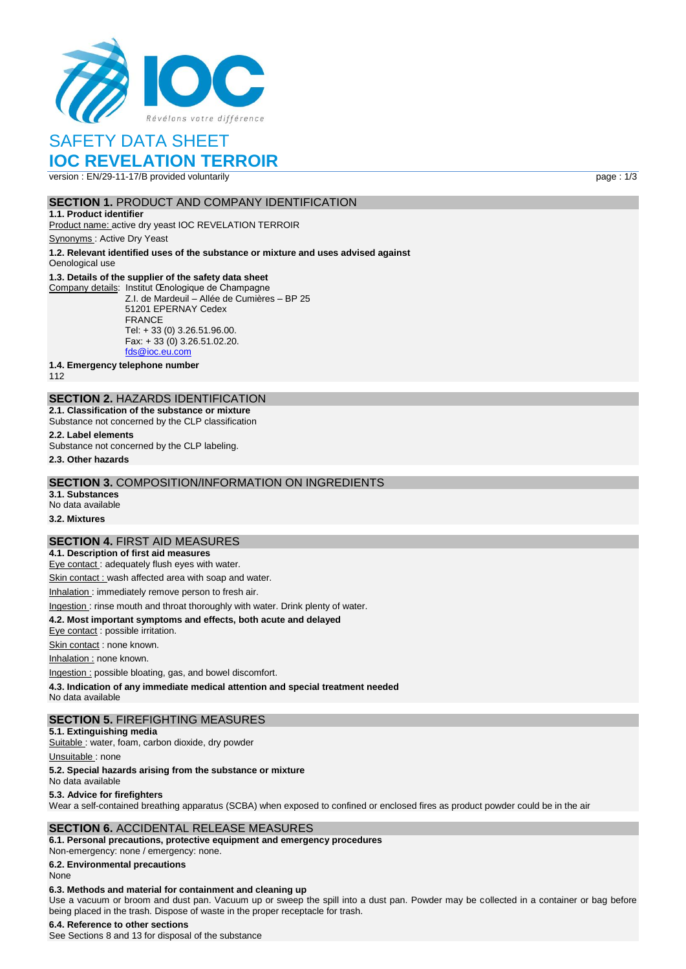

# SAFETY DATA SHEET

# **IOC REVELATION TERROIR**

version : EN/29-11-17/B provided voluntarily page : 1/3

### **SECTION 1.** PRODUCT AND COMPANY IDENTIFICATION

**1.1. Product identifier** Product name: active dry yeast IOC REVELATION TERROIR

Synonyms : Active Dry Yeast

**1.2. Relevant identified uses of the substance or mixture and uses advised against** Oenological use

#### **1.3. Details of the supplier of the safety data sheet**

Company details: Institut Œnologique de Champagne Z.I. de Mardeuil – Allée de Cumières – BP 25 51201 EPERNAY Cedex FRANCE Tel: + 33 (0) 3.26.51.96.00. Fax: + 33 (0) 3.26.51.02.20. [fds@ioc.eu.com](mailto:fds@ioc.eu.com)

**1.4. Emergency telephone number**

112

## **SECTION 2.** HAZARDS IDENTIFICATION

**2.1. Classification of the substance or mixture** Substance not concerned by the CLP classification

**2.2. Label elements** Substance not concerned by the CLP labeling.

**2.3. Other hazards**

# **SECTION 3.** COMPOSITION/INFORMATION ON INGREDIENTS

**3.1. Substances**

No data available

## **3.2. Mixtures**

#### **SECTION 4.** FIRST AID MEASURES

**4.1. Description of first aid measures** Eye contact : adequately flush eyes with water.

Skin contact : wash affected area with soap and water.

Inhalation : immediately remove person to fresh air.

## Ingestion : rinse mouth and throat thoroughly with water. Drink plenty of water.

**4.2. Most important symptoms and effects, both acute and delayed**

Eye contact : possible irritation.

Skin contact : none known.

Inhalation : none known.

Ingestion : possible bloating, gas, and bowel discomfort.

**4.3. Indication of any immediate medical attention and special treatment needed**

No data available

#### **SECTION 5.** FIREFIGHTING MEASURES

**5.1. Extinguishing media**

Suitable : water, foam, carbon dioxide, dry powder

Unsuitable: none

#### **5.2. Special hazards arising from the substance or mixture**

No data available

#### **5.3. Advice for firefighters**

Wear a self-contained breathing apparatus (SCBA) when exposed to confined or enclosed fires as product powder could be in the air

## **SECTION 6.** ACCIDENTAL RELEASE MEASURES

**6.1. Personal precautions, protective equipment and emergency procedures** Non‐emergency: none / emergency: none.

**6.2. Environmental precautions**

#### None

#### **6.3. Methods and material for containment and cleaning up**

Use a vacuum or broom and dust pan. Vacuum up or sweep the spill into a dust pan. Powder may be collected in a container or bag before being placed in the trash. Dispose of waste in the proper receptacle for trash.

#### **6.4. Reference to other sections**

See Sections 8 and 13 for disposal of the substance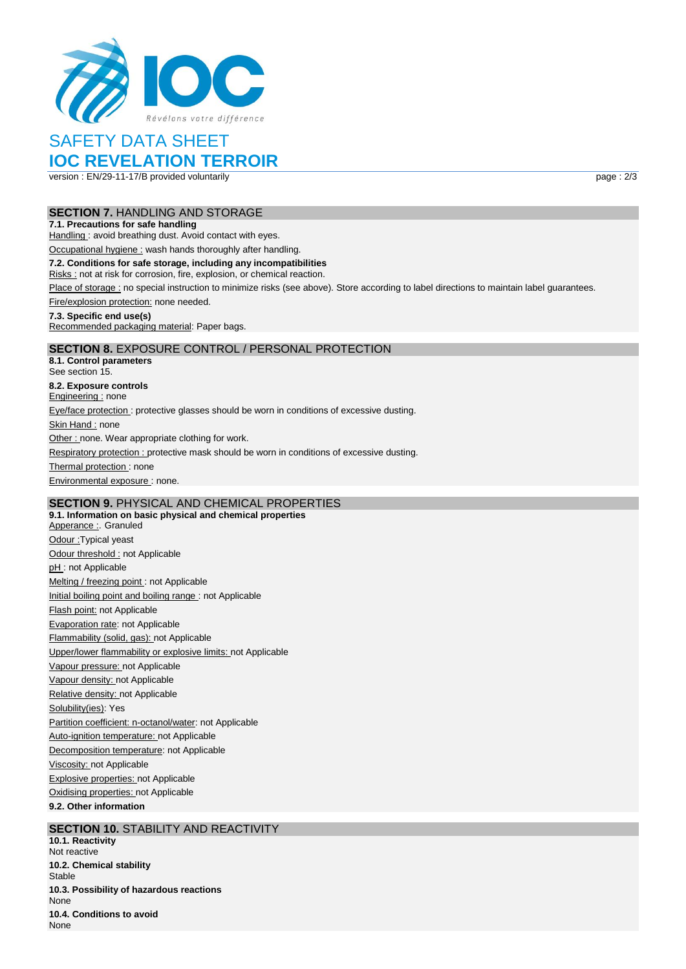

# SAFETY DATA SHEET

# **IOC REVELATION TERROIR**

version : EN/29-11-17/B provided voluntarily page : 2/3

### **SECTION 7.** HANDLING AND STORAGE

#### **7.1. Precautions for safe handling**

Handling : avoid breathing dust. Avoid contact with eyes.

Occupational hygiene : wash hands thoroughly after handling.

#### **7.2. Conditions for safe storage, including any incompatibilities**

Risks : not at risk for corrosion, fire, explosion, or chemical reaction.

Place of storage : no special instruction to minimize risks (see above). Store according to label directions to maintain label guarantees.

Fire/explosion protection: none needed.

#### **7.3. Specific end use(s)**

Recommended packaging material: Paper bags.

## **SECTION 8.** EXPOSURE CONTROL / PERSONAL PROTECTION

**8.1. Control parameters** See section 15. **8.2. Exposure controls** Engineering : none Eye/face protection : protective glasses should be worn in conditions of excessive dusting. Skin Hand : none Other : none. Wear appropriate clothing for work. Respiratory protection : protective mask should be worn in conditions of excessive dusting. Thermal protection: none Environmental exposure : none.

## **SECTION 9.** PHYSICAL AND CHEMICAL PROPERTIES

**9.1. Information on basic physical and chemical properties** Apperance : Granuled Odour :Typical yeast Odour threshold : not Applicable pH: not Applicable Melting / freezing point : not Applicable Initial boiling point and boiling range : not Applicable Flash point: not Applicable Evaporation rate: not Applicable Flammability (solid, gas): not Applicable Upper/lower flammability or explosive limits: not Applicable Vapour pressure: not Applicable Vapour density: not Applicable Relative density: not Applicable Solubility(ies): Yes Partition coefficient: n-octanol/water: not Applicable Auto-ignition temperature: not Applicable Decomposition temperature: not Applicable Viscosity: not Applicable Explosive properties: not Applicable Oxidising properties: not Applicable **9.2. Other information**

## **SECTION 10. STABILITY AND REACTIVITY**

**10.1. Reactivity** Not reactive **10.2. Chemical stability** Stable **10.3. Possibility of hazardous reactions** None **10.4. Conditions to avoid** None